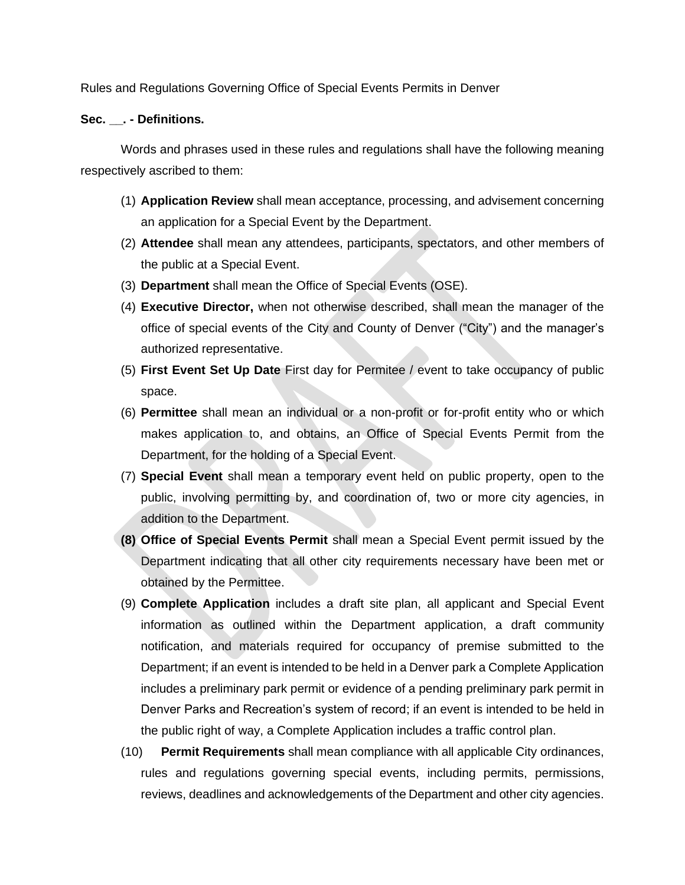Rules and Regulations Governing Office of Special Events Permits in Denver

#### **Sec. \_\_. - Definitions.**

Words and phrases used in these rules and regulations shall have the following meaning respectively ascribed to them:

- (1) **Application Review** shall mean acceptance, processing, and advisement concerning an application for a Special Event by the Department.
- (2) **Attendee** shall mean any attendees, participants, spectators, and other members of the public at a Special Event.
- (3) **Department** shall mean the Office of Special Events (OSE).
- (4) **Executive Director,** when not otherwise described, shall mean the manager of the office of special events of the City and County of Denver ("City") and the manager's authorized representative.
- (5) **First Event Set Up Date** First day for Permitee / event to take occupancy of public space.
- (6) **Permittee** shall mean an individual or a non-profit or for-profit entity who or which makes application to, and obtains, an Office of Special Events Permit from the Department, for the holding of a Special Event.
- (7) **Special Event** shall mean a temporary event held on public property, open to the public, involving permitting by, and coordination of, two or more city agencies, in addition to the Department.
- **(8) Office of Special Events Permit** shall mean a Special Event permit issued by the Department indicating that all other city requirements necessary have been met or obtained by the Permittee.
- (9) **Complete Application** includes a draft site plan, all applicant and Special Event information as outlined within the Department application, a draft community notification, and materials required for occupancy of premise submitted to the Department; if an event is intended to be held in a Denver park a Complete Application includes a preliminary park permit or evidence of a pending preliminary park permit in Denver Parks and Recreation's system of record; if an event is intended to be held in the public right of way, a Complete Application includes a traffic control plan.
- (10) **Permit Requirements** shall mean compliance with all applicable City ordinances, rules and regulations governing special events, including permits, permissions, reviews, deadlines and acknowledgements of the Department and other city agencies.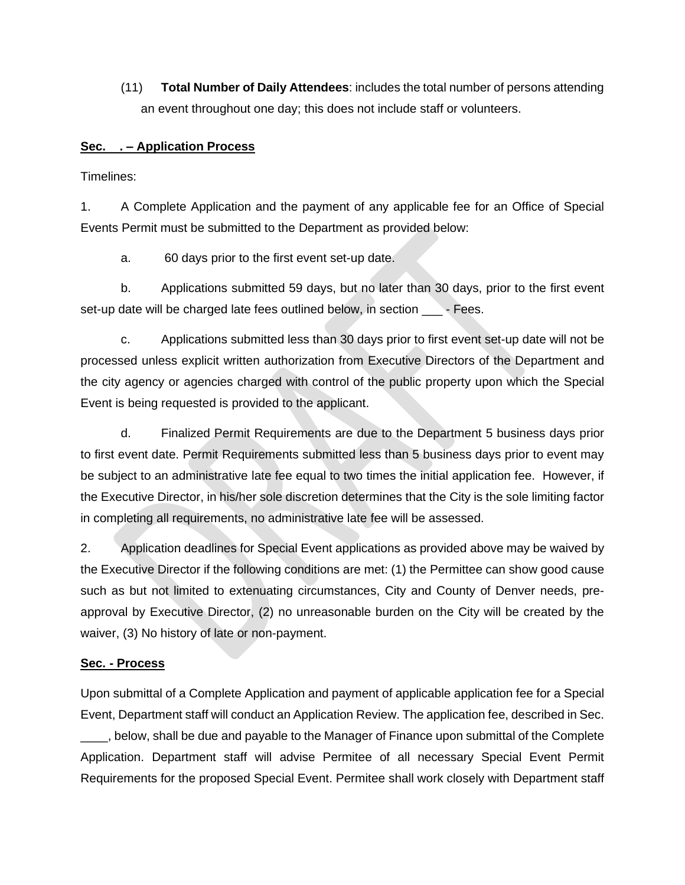(11) **Total Number of Daily Attendees**: includes the total number of persons attending an event throughout one day; this does not include staff or volunteers.

## **Sec. . – Application Process**

Timelines:

1. A Complete Application and the payment of any applicable fee for an Office of Special Events Permit must be submitted to the Department as provided below:

a. 60 days prior to the first event set-up date.

b. Applications submitted 59 days, but no later than 30 days, prior to the first event set-up date will be charged late fees outlined below, in section - Fees.

c. Applications submitted less than 30 days prior to first event set-up date will not be processed unless explicit written authorization from Executive Directors of the Department and the city agency or agencies charged with control of the public property upon which the Special Event is being requested is provided to the applicant.

d. Finalized Permit Requirements are due to the Department 5 business days prior to first event date. Permit Requirements submitted less than 5 business days prior to event may be subject to an administrative late fee equal to two times the initial application fee. However, if the Executive Director, in his/her sole discretion determines that the City is the sole limiting factor in completing all requirements, no administrative late fee will be assessed.

2. Application deadlines for Special Event applications as provided above may be waived by the Executive Director if the following conditions are met: (1) the Permittee can show good cause such as but not limited to extenuating circumstances, City and County of Denver needs, preapproval by Executive Director, (2) no unreasonable burden on the City will be created by the waiver, (3) No history of late or non-payment.

# **Sec. - Process**

Upon submittal of a Complete Application and payment of applicable application fee for a Special Event, Department staff will conduct an Application Review. The application fee, described in Sec. \_\_\_\_, below, shall be due and payable to the Manager of Finance upon submittal of the Complete Application. Department staff will advise Permitee of all necessary Special Event Permit Requirements for the proposed Special Event. Permitee shall work closely with Department staff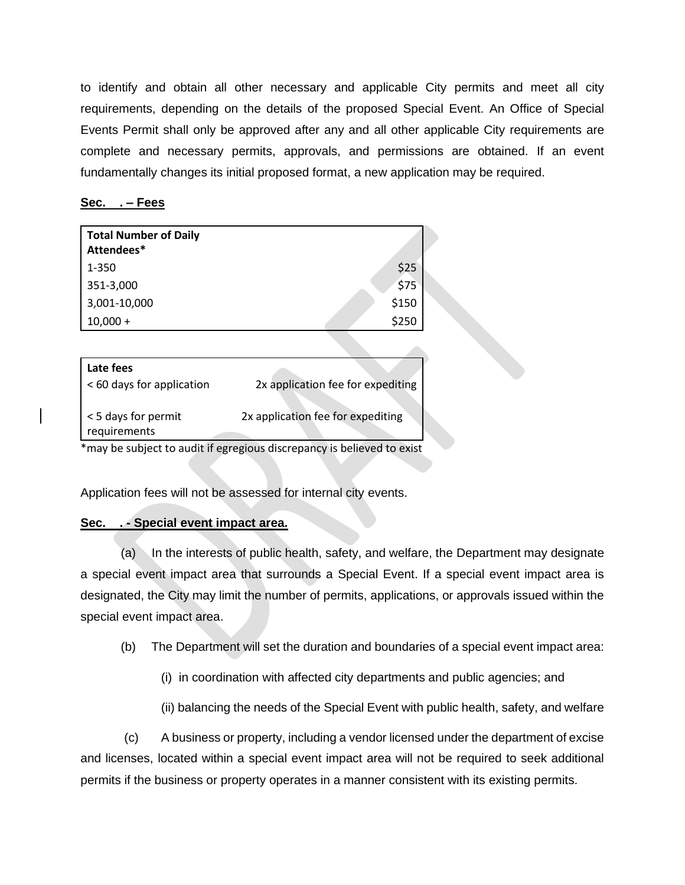to identify and obtain all other necessary and applicable City permits and meet all city requirements, depending on the details of the proposed Special Event. An Office of Special Events Permit shall only be approved after any and all other applicable City requirements are complete and necessary permits, approvals, and permissions are obtained. If an event fundamentally changes its initial proposed format, a new application may be required.

### **Sec. . – Fees**

| <b>Total Number of Daily</b><br>Attendees* |                                   |
|--------------------------------------------|-----------------------------------|
| 1-350                                      | \$25                              |
| 351-3,000                                  | \$75                              |
| 3,001-10,000                               | \$150                             |
| $10,000 +$                                 | \$250                             |
|                                            |                                   |
| Late fees                                  |                                   |
| < 60 days for application                  | 2x application fee for expediting |

Application fees will not be assessed for internal city events.

# **Sec. . - Special event impact area.**

(a) In the interests of public health, safety, and welfare, the Department may designate a special event impact area that surrounds a Special Event. If a special event impact area is designated, the City may limit the number of permits, applications, or approvals issued within the special event impact area.

- (b) The Department will set the duration and boundaries of a special event impact area:
	- (i) in coordination with affected city departments and public agencies; and
	- (ii) balancing the needs of the Special Event with public health, safety, and welfare

(c) A business or property, including a vendor licensed under the department of excise and licenses, located within a special event impact area will not be required to seek additional permits if the business or property operates in a manner consistent with its existing permits.